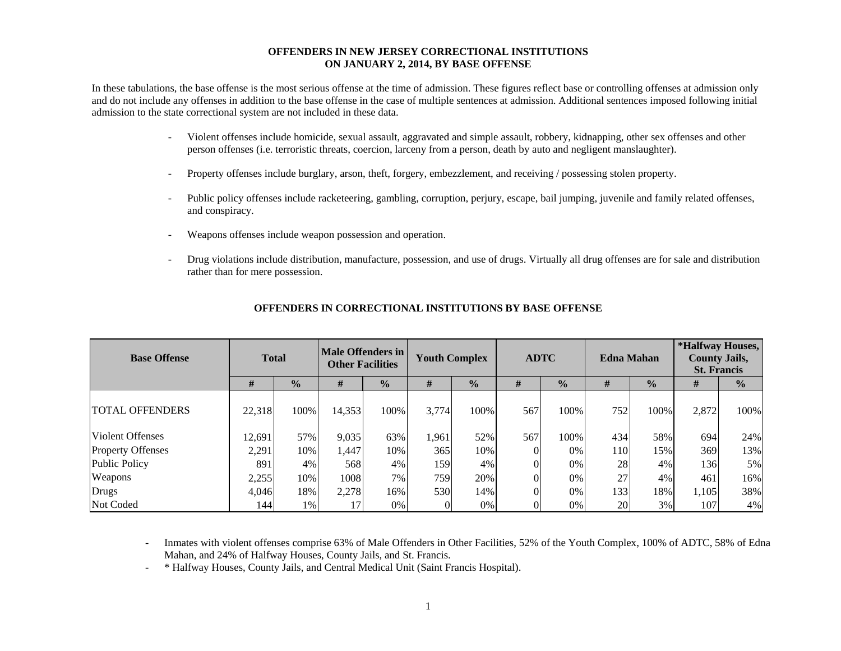#### **OFFENDERS IN NEW JERSEY CORRECTIONAL INSTITUTIONS ON JANUARY 2, 2014, BY BASE OFFENSE**

In these tabulations, the base offense is the most serious offense at the time of admission. These figures reflect base or controlling offenses at admission only and do not include any offenses in addition to the base offense in the case of multiple sentences at admission. Additional sentences imposed following initial admission to the state correctional system are not included in these data.

- - Violent offenses include homicide, sexual assault, aggravated and simple assault, robbery, kidnapping, other sex offenses and other person offenses (i.e. terroristic threats, coercion, larceny from a person, death by auto and negligent manslaughter).
- Property offenses include burglary, arson, theft, forgery, embezzlement, and receiving / possessing stolen property.
- Public policy offenses include racketeering, gambling, corruption, perjury, escape, bail jumping, juvenile and family related offenses, and conspiracy.
- Weapons offenses include weapon possession and operation.
- Drug violations include distribution, manufacture, possession, and use of drugs. Virtually all drug offenses are for sale and distribution rather than for mere possession.

| <b>Base Offense</b>      | <b>Total</b> |               | Male Offenders in<br><b>Other Facilities</b> |               | <b>Youth Complex</b> |               |     | <b>ADTC</b>   | <b>Edna Mahan</b> |               | *Halfway Houses,<br><b>County Jails,</b><br><b>St. Francis</b> |               |  |
|--------------------------|--------------|---------------|----------------------------------------------|---------------|----------------------|---------------|-----|---------------|-------------------|---------------|----------------------------------------------------------------|---------------|--|
|                          | #            | $\frac{0}{0}$ | #                                            | $\frac{0}{0}$ | #                    | $\frac{1}{2}$ | #   | $\frac{0}{0}$ | #                 | $\frac{0}{0}$ | #                                                              | $\frac{0}{0}$ |  |
| <b>TOTAL OFFENDERS</b>   | 22,318       | 100%          | 14,353                                       | 100%          | 3,774                | 100%          | 567 | 100%          | 752               | 100%          | 2,872                                                          | 100%          |  |
| <b>Violent Offenses</b>  | 12,691       | 57%           | 9,035                                        | 63%           | 1,961                | 52%           | 567 | 100%          | 434               | 58%           | 694                                                            | 24%           |  |
| <b>Property Offenses</b> | 2,291        | 10%           | 1,447                                        | 10%           | 365                  | 10%           |     | 0%            | <b>110</b>        | 15%           | 369                                                            | 13%           |  |
| Public Policy            | 891          | 4%            | 568                                          | 4%            | 159                  | 4%            |     | 0%            | 28                | 4%            | 136                                                            | 5%            |  |
| Weapons                  | 2,255        | 10%           | 1008                                         | 7%            | 759                  | 20%           |     | 0%            | 27                | 4%            | 461                                                            | 16%           |  |
| Drugs                    | 4,046        | 18%           | 2,278                                        | 16%           | 530                  | 14%           |     | 0%            | 133               | 18%           | 1,105                                                          | 38%           |  |
| Not Coded                | 144          | 1%            |                                              | 0%            |                      | 0%            |     | 0%            | 20                | 3%            | 107                                                            | 4%            |  |

### **OFFENDERS IN CORRECTIONAL INSTITUTIONS BY BASE OFFENSE**

 Inmates with violent offenses comprise 63% of Male Offenders in Other Facilities, 52% of the Youth Complex, 100% of ADTC, 58% of Edna Mahan, and 24% of Halfway Houses, County Jails, and St. Francis.

\* Halfway Houses, County Jails, and Central Medical Unit (Saint Francis Hospital).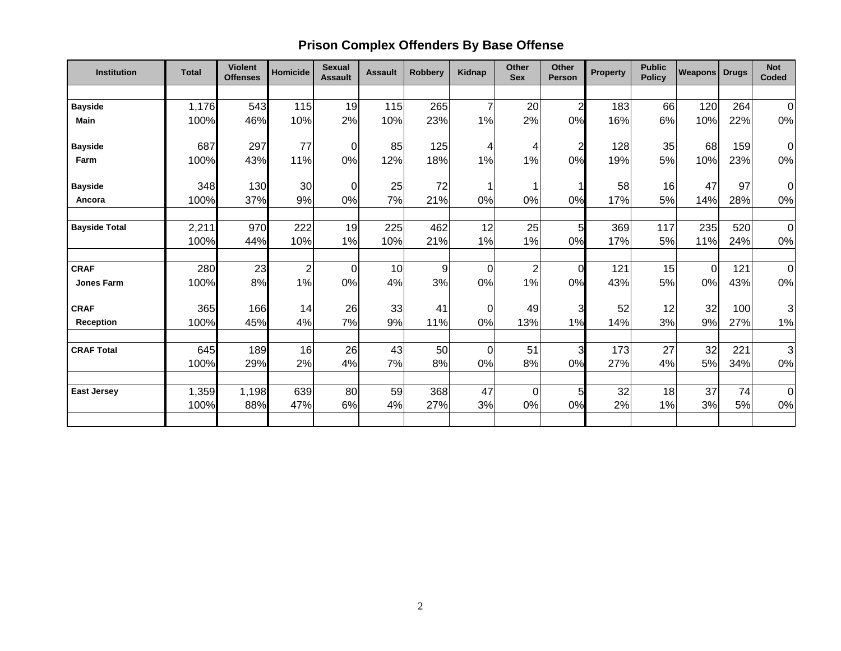# **Prison Complex Offenders By Base Offense**

| <b>Institution</b>   | <b>Total</b> | <b>Violent</b><br><b>Offenses</b> | <b>Homicide</b> | <b>Sexual</b><br><b>Assault</b> | <b>Assault</b> | <b>Robbery</b> | Kidnap         | <b>Other</b><br><b>Sex</b> | Other<br><b>Person</b> | <b>Property</b> | <b>Public</b><br><b>Policy</b> | <b>Weapons</b> | <b>Drugs</b> | <b>Not</b><br>Coded |
|----------------------|--------------|-----------------------------------|-----------------|---------------------------------|----------------|----------------|----------------|----------------------------|------------------------|-----------------|--------------------------------|----------------|--------------|---------------------|
|                      |              |                                   |                 |                                 |                |                |                |                            |                        |                 |                                |                |              |                     |
| <b>Bayside</b>       | 1,176        | 543                               | 115             | 19                              | 115            | 265            | $\overline{7}$ | 20                         | $\overline{2}$         | 183             | 66                             | 120            | 264          | $\overline{0}$      |
| <b>Main</b>          | 100%         | 46%                               | 10%             | 2%                              | 10%            | 23%            | 1%             | 2%                         | 0%                     | 16%             | 6%                             | 10%            | 22%          | 0%                  |
| <b>Bayside</b>       | 687          | 297                               | 77              | $\mathbf 0$                     | 85             | 125            | 4              | 4                          | $\overline{2}$         | 128             | 35                             | 68             | 159          | 0                   |
| Farm                 | 100%         | 43%                               | 11%             | 0%                              | 12%            | 18%            | 1%             | 1%                         | 0%                     | 19%             | 5%                             | 10%            | 23%          | 0%                  |
| <b>Bayside</b>       | 348          | 130                               | 30              | $\mathbf 0$                     | 25             | 72             | 1              | 1                          |                        | 58              | 16                             | 47             | 97           | 0                   |
| Ancora               | 100%         | 37%                               | 9%              | 0%                              | 7%             | 21%            | 0%             | 0%                         | 0%                     | 17%             | 5%                             | 14%            | 28%          | 0%                  |
| <b>Bayside Total</b> | 2,211        | 970                               | 222             | 19                              | 225            | 462            | 12             | 25                         | 5                      | 369             | 117                            | 235            | 520          | $\mathbf 0$         |
|                      | 100%         | 44%                               | 10%             | 1%                              | 10%            | 21%            | 1%             | 1%                         | 0%                     | 17%             | 5%                             | 11%            | 24%          | $0\%$               |
| <b>CRAF</b>          | 280          | 23                                | $\overline{2}$  | 0                               | 10             | 9              | 0              | $\overline{\mathbf{c}}$    | $\Omega$               | 121             | 15                             | 0              | 121          | $\mathbf 0$         |
| <b>Jones Farm</b>    | 100%         | 8%                                | 1%              | 0%                              | 4%             | 3%             | 0%             | 1%                         | 0%                     | 43%             | 5%                             | 0%             | 43%          | 0%                  |
| <b>CRAF</b>          | 365          | 166                               | 14              | 26                              | 33             | 41             | $\overline{0}$ | 49                         | 3                      | 52              | 12                             | 32             | 100          | 3                   |
| Reception            | 100%         | 45%                               | 4%              | 7%                              | 9%             | 11%            | 0%             | 13%                        | 1%                     | 14%             | 3%                             | 9%             | 27%          | 1%                  |
|                      |              |                                   |                 |                                 |                |                |                |                            |                        |                 |                                |                |              |                     |
| <b>CRAF Total</b>    | 645<br>100%  | 189<br>29%                        | 16<br>2%        | 26<br>4%                        | 43<br>7%       | 50<br>8%       | 0<br>0%        | 51<br>8%                   | 3<br>0%                | 173<br>27%      | 27<br>4%                       | 32<br>5%       | 221<br>34%   | 3<br>0%             |
|                      |              |                                   |                 |                                 |                |                |                |                            |                        |                 |                                |                |              |                     |
| <b>East Jersey</b>   | 1,359        | 1,198                             | 639             | 80                              | 59             | 368            | 47             | 0                          | 5                      | 32              | 18                             | 37             | 74           | $\mathbf 0$         |
|                      | 100%         | 88%                               | 47%             | 6%                              | 4%             | 27%            | 3%             | 0%                         | 0%                     | 2%              | 1%                             | 3%             | 5%           | 0%                  |
|                      |              |                                   |                 |                                 |                |                |                |                            |                        |                 |                                |                |              |                     |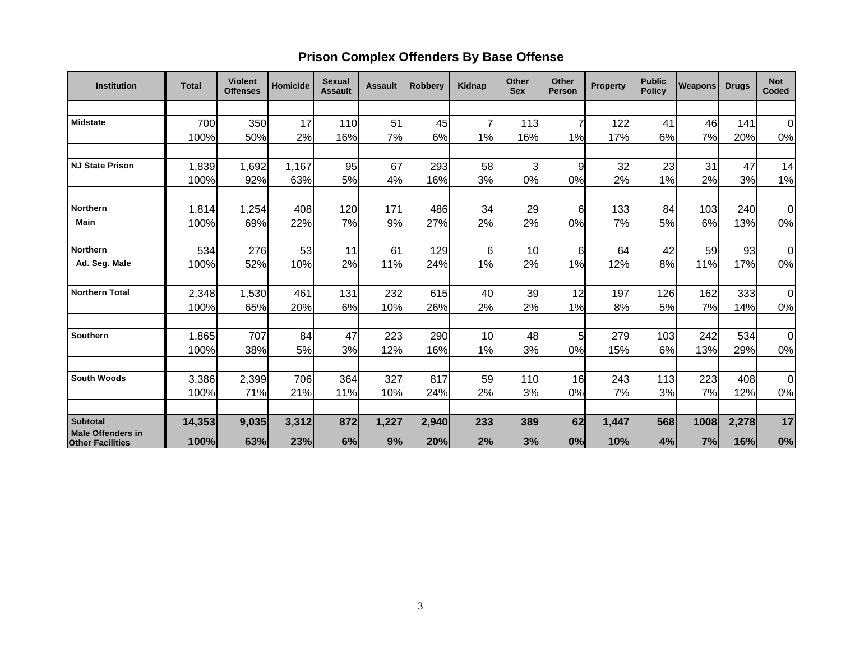## **Prison Complex Offenders By Base Offense**

| <b>Institution</b>       | <b>Total</b>  | <b>Violent</b><br><b>Offenses</b> | Homicide | <b>Sexual</b><br><b>Assault</b> | <b>Assault</b> | <b>Robbery</b> | Kidnap | Other<br><b>Sex</b> | Other<br><b>Person</b> | <b>Property</b> | <b>Public</b><br><b>Policy</b> | <b>Weapons</b> | <b>Drugs</b> | <b>Not</b><br><b>Coded</b> |
|--------------------------|---------------|-----------------------------------|----------|---------------------------------|----------------|----------------|--------|---------------------|------------------------|-----------------|--------------------------------|----------------|--------------|----------------------------|
|                          |               |                                   |          |                                 |                |                |        |                     |                        |                 |                                |                |              |                            |
| <b>Midstate</b>          | 700           | 350                               | 17       | 110                             | 51             | 45             |        | 113                 | 7                      | 122             | 41                             | 46             | 141          | 0                          |
|                          | 100%          | 50%                               | 2%       | 16%                             | 7%             | 6%             | 1%     | 16%                 | 1%                     | 17%             | 6%                             | 7%             | 20%          | $0\%$                      |
|                          |               |                                   |          |                                 |                |                |        |                     |                        |                 |                                |                |              |                            |
| <b>NJ State Prison</b>   | 1,839         | 1,692                             | 1,167    | 95                              | 67             | 293            | 58     | 3                   | 9                      | 32              | 23                             | 31             | 47           | 14                         |
|                          | 100%          | 92%                               | 63%      | 5%                              | 4%             | 16%            | 3%     | 0%                  | 0%                     | 2%              | 1%                             | 2%             | 3%           | 1%                         |
| <b>Northern</b>          | 1,814         | 1,254                             | 408      | 120                             | 171            | 486            | 34     | 29                  | 6                      | 133             | 84                             | 103            | 240          | 0                          |
| <b>Main</b>              | 100%          | 69%                               | 22%      | 7%                              | 9%             | 27%            | 2%     | 2%                  | 0%                     | 7%              | 5%                             | 6%             | 13%          | $0\%$                      |
| <b>Northern</b>          |               |                                   |          |                                 |                |                |        |                     |                        |                 |                                |                |              |                            |
|                          | 534           | 276                               | 53       | 11                              | 61             | 129            | 6      | 10                  | 6                      | 64              | 42                             | 59             | 93           | 0                          |
| Ad. Seg. Male            | 100%          | 52%                               | 10%      | 2%                              | 11%            | 24%            | 1%     | 2%                  | 1%                     | 12%             | 8%                             | 11%            | 17%          | 0%                         |
| <b>Northern Total</b>    | 2,348         | 1,530                             | 461      | 131                             | 232            | 615            | 40     | 39                  | 12                     | 197             | 126                            | 162            | 333          | $\overline{0}$             |
|                          | 100%          | 65%                               | 20%      | 6%                              | 10%            | 26%            | 2%     | 2%                  | 1%                     | 8%              | 5%                             | 7%             | 14%          | $0\%$                      |
| Southern                 |               | 707                               | 84       | 47                              |                | 290            | 10     | 48                  | 5                      | 279             | 103                            | 242            | 534          | $\overline{0}$             |
|                          | 1,865<br>100% | 38%                               | 5%       | 3%                              | 223<br>12%     | 16%            | 1%     | 3%                  | 0%                     | 15%             | 6%                             | 13%            | 29%          | 0%                         |
|                          |               |                                   |          |                                 |                |                |        |                     |                        |                 |                                |                |              |                            |
| <b>South Woods</b>       | 3,386         | 2,399                             | 706      | 364                             | 327            | 817            | 59     | 110                 | 16                     | 243             | 113                            | 223            | 408          | 0                          |
|                          | 100%          | 71%                               | 21%      | 11%                             | 10%            | 24%            | 2%     | 3%                  | 0%                     | 7%              | 3%                             | 7%             | 12%          | $0\%$                      |
| <b>Subtotal</b>          | 14,353        | 9,035                             | 3,312    | 872                             | 1,227          | 2,940          | 233    | 389                 | 62                     | 1,447           | 568                            | 1008           | 2,278        | 17                         |
| <b>Male Offenders in</b> |               |                                   |          |                                 |                |                |        |                     |                        |                 |                                |                |              |                            |
| <b>Other Facilities</b>  | 100%          | 63%                               | 23%      | 6%                              | 9%             | 20%            | 2%     | 3%                  | 0%                     | 10%             | 4%                             | 7%             | 16%          | 0%                         |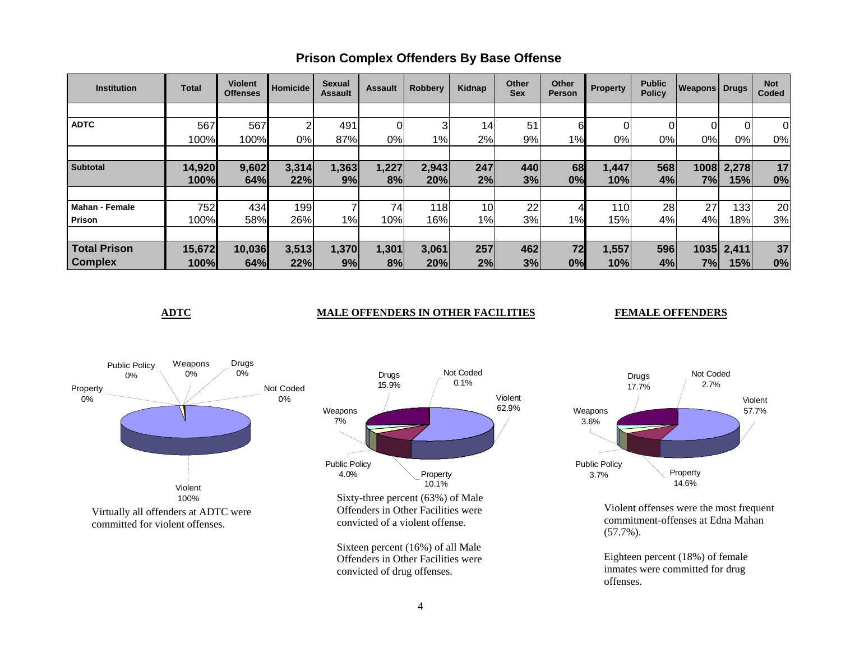| <b>Institution</b>    | <b>Total</b> | <b>Violent</b><br><b>Offenses</b> | <b>Homicide</b> | <b>Sexual</b><br><b>Assault</b> | <b>Assault</b> | <b>Robbery</b> | Kidnap | <b>Other</b><br><b>Sex</b> | Other<br><b>Person</b> | Property | <b>Public</b><br><b>Policy</b> | <b>Weapons Drugs</b> |                | <b>Not</b><br>Coded |
|-----------------------|--------------|-----------------------------------|-----------------|---------------------------------|----------------|----------------|--------|----------------------------|------------------------|----------|--------------------------------|----------------------|----------------|---------------------|
|                       |              |                                   |                 |                                 |                |                |        |                            |                        |          |                                |                      |                |                     |
| <b>ADTC</b>           | 567          | 567                               | 2               | 491                             |                | 3              | 14     | 51                         | 61                     | 01       |                                | 0                    | $\overline{0}$ | 0                   |
|                       | 100%         | 100%                              | 0%              | 87%                             | 0%             | $1\%$          | 2%     | 9%                         | 1%                     | 0%l      | 0%                             | $0\%$                | $0\%$          | 0%                  |
|                       |              |                                   |                 |                                 |                |                |        |                            |                        |          |                                |                      |                |                     |
| <b>Subtotal</b>       | 14,920       | 9,602                             | 3,314           | 1,363                           | 1,227          | 2,943          | 247    | 440                        | 68                     | 1,447    | 568                            | 1008                 | 2,278          | 17                  |
|                       | 100%         | 64%                               | 22%             | 9%                              | 8%             | 20%            | 2%     | 3%                         | 0%                     | 10%      | 4%                             | 7%                   | 15%            | 0%                  |
|                       |              |                                   |                 |                                 |                |                |        |                            |                        |          |                                |                      |                |                     |
| <b>Mahan - Female</b> | 752          | 434                               | 199             |                                 | 74             | 118            | 10     | 22                         | 4                      | 110      | 28                             | 27                   | 133            | 20                  |
| Prison                | 100%         | 58%                               | 26%             | 1%                              | 10%            | 16%            | $1\%$  | 3%                         | 1%                     | 15%      | 4%                             | 4%                   | 18%l           | 3%                  |
|                       |              |                                   |                 |                                 |                |                |        |                            |                        |          |                                |                      |                |                     |
| <b>Total Prison</b>   | 15,672       | 10,036                            | 3,513           | 1,370                           | 1,301          | 3,061          | 257    | 462                        | 72                     | 1,557    | 596                            | 1035                 | 2,411          | 37                  |
| <b>Complex</b>        | 100%         | 64%                               | 22%             | 9%                              | 8%             | 20%            | 2%     | 3%                         | 0%                     | 10%      | 4%                             | 7%                   | 15%            | 0%                  |

### **Prison Complex Offenders By Base Offense**

#### **ADTC** MALE OFFENDERS IN OTHER FACILITIES

#### **FEMALE OFFENDERS**





Violent offenses were the most frequent commitment-offenses at Edna Mahan (57.7%).

Eighteen percent (18%) of female inmates were committed for drug offenses.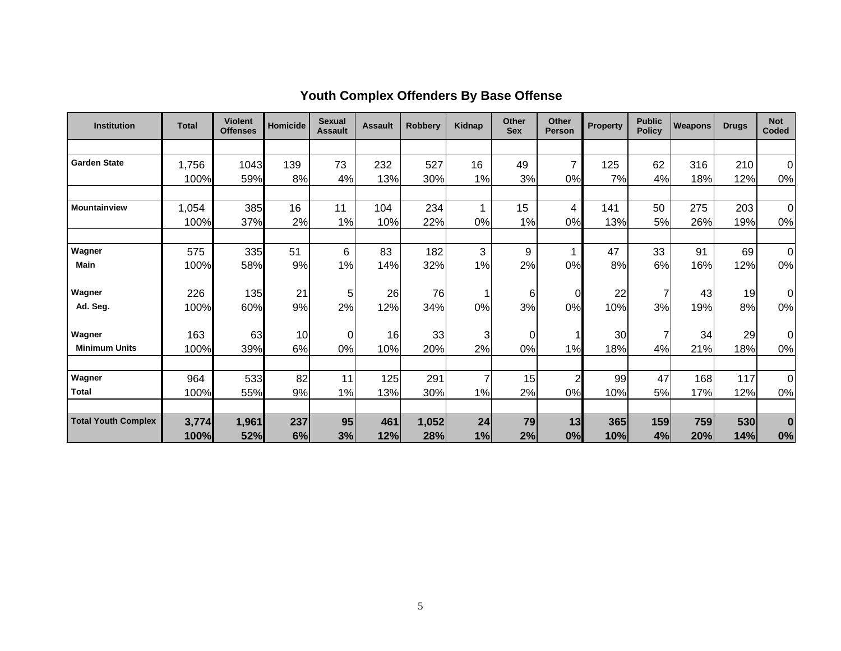| <b>Institution</b>         | <b>Total</b> | <b>Violent</b><br><b>Offenses</b> | <b>Homicide</b> | <b>Sexual</b><br><b>Assault</b> | <b>Assault</b> | <b>Robberv</b> | Kidnap         | Other<br><b>Sex</b> | Other<br><b>Person</b> | <b>Property</b> | <b>Public</b><br><b>Policy</b> | Weapons | <b>Drugs</b> | <b>Not</b><br>Coded |
|----------------------------|--------------|-----------------------------------|-----------------|---------------------------------|----------------|----------------|----------------|---------------------|------------------------|-----------------|--------------------------------|---------|--------------|---------------------|
|                            |              |                                   |                 |                                 |                |                |                |                     |                        |                 |                                |         |              |                     |
| <b>Garden State</b>        | 1,756        | 1043                              | 139             | 73                              | 232            | 527            | 16             | 49                  | $\overline{7}$         | 125             | 62                             | 316     | 210          | $\Omega$            |
|                            | 100%         | 59%                               | 8%              | 4%                              | 13%            | 30%            | 1%             | 3%                  | 0%                     | 7%              | 4%                             | 18%     | 12%          | 0%                  |
| <b>Mountainview</b>        | 1,054        | 385                               | 16              | 11                              | 104            | 234            | 1              | 15                  | 4                      | 141             | 50                             | 275     | 203          | $\mathbf 0$         |
|                            | 100%         | 37%                               | 2%              | 1%                              | 10%            | 22%            | 0%             | 1%                  | 0%                     | 13%             | 5%                             | 26%     | 19%          | 0%                  |
| Wagner                     | 575          | 335                               | 51              | 6                               | 83             | 182            | 3              | 9                   | 1                      | 47              | 33                             | 91      | 69           | $\mathbf 0$         |
| <b>Main</b>                | 100%         | 58%                               | 9%              | 1%                              | 14%            | 32%            | 1%             | 2%                  | 0%                     | 8%              | 6%                             | 16%     | 12%          | $0\%$               |
| Wagner                     | 226          | 135                               | 21              | 5                               | 26             | 76             |                | $6 \mid$            | 0                      | 22              | 7                              | 43      | 19           | $\Omega$            |
| Ad. Seg.                   | 100%         | 60%                               | 9%              | 2%                              | 12%            | 34%            | 0%             | 3%                  | 0%                     | 10%             | 3%                             | 19%     | 8%           | 0%                  |
| Wagner                     | 163          | 63                                | 10              | 0                               | 16             | 33             | 3              | $\overline{0}$      | 1                      | 30              | 7                              | 34      | 29           | 0                   |
| <b>Minimum Units</b>       | 100%         | 39%                               | 6%              | 0%                              | 10%            | 20%            | 2%             | 0%                  | 1%                     | 18%             | 4%                             | 21%     | 18%          | 0%                  |
| Wagner                     | 964          | 533                               | 82              | 11                              | 125            | 291            | $\overline{7}$ | 15                  | $\overline{c}$         | 99              | 47                             | 168     | 117          | $\mathbf 0$         |
| <b>Total</b>               | 100%         | 55%                               | 9%              | 1%                              | 13%            | 30%            | 1%             | 2%                  | 0%                     | 10%             | 5%                             | 17%     | 12%          | 0%                  |
| <b>Total Youth Complex</b> | 3,774        | 1,961                             | 237             | 95                              | 461            | 1,052          | 24             | 79                  | 13                     | 365             | 159                            | 759     | 530          | $\bf{0}$            |
|                            | 100%         | 52%                               | 6%              | 3%                              | 12%            | 28%            | 1%             | 2%                  | 0%                     | 10%             | 4%                             | 20%     | 14%          | 0%                  |

# **Youth Complex Offenders By Base Offense**